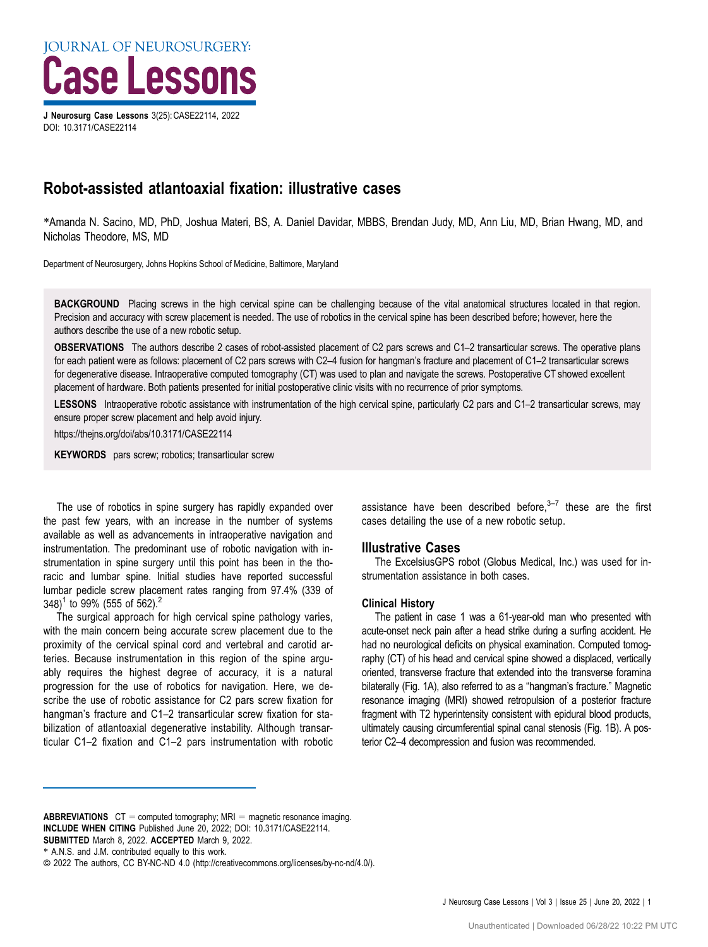J Neurosurg Case Lessons 3(25): CASE22114, 2022 DOI: [10.3171/CASE22114](https://doi.org/10.3171/CASE22114)

# Robot-assisted atlantoaxial fixation: illustrative cases

\*Amanda N. Sacino, MD, PhD, Joshua Materi, BS, A. Daniel Davidar, MBBS, Brendan Judy, MD, Ann Liu, MD, Brian Hwang, MD, and Nicholas Theodore, MS, MD

Department of Neurosurgery, Johns Hopkins School of Medicine, Baltimore, Maryland

BACKGROUND Placing screws in the high cervical spine can be challenging because of the vital anatomical structures located in that region. Precision and accuracy with screw placement is needed. The use of robotics in the cervical spine has been described before; however, here the authors describe the use of a new robotic setup.

OBSERVATIONS The authors describe 2 cases of robot-assisted placement of C2 pars screws and C1–2 transarticular screws. The operative plans for each patient were as follows: placement of C2 pars screws with C2–4 fusion for hangman's fracture and placement of C1–2 transarticular screws for degenerative disease. Intraoperative computed tomography (CT) was used to plan and navigate the screws. Postoperative CT showed excellent placement of hardware. Both patients presented for initial postoperative clinic visits with no recurrence of prior symptoms.

LESSONS Intraoperative robotic assistance with instrumentation of the high cervical spine, particularly C2 pars and C1-2 transarticular screws, may ensure proper screw placement and help avoid injury.

https://thejns.org/doi/abs/10.3171/CASE22114

KEYWORDS pars screw; robotics; transarticular screw

The use of robotics in spine surgery has rapidly expanded over the past few years, with an increase in the number of systems available as well as advancements in intraoperative navigation and instrumentation. The predominant use of robotic navigation with instrumentation in spine surgery until this point has been in the thoracic and lumbar spine. Initial studies have reported successful lumbar pedicle screw placement rates ranging from 97.4% (339 of 348)<sup>[1](#page-3-0)</sup> to 99% (555 of 56[2](#page-3-0)).<sup>2</sup>

The surgical approach for high cervical spine pathology varies, with the main concern being accurate screw placement due to the proximity of the cervical spinal cord and vertebral and carotid arteries. Because instrumentation in this region of the spine arguably requires the highest degree of accuracy, it is a natural progression for the use of robotics for navigation. Here, we describe the use of robotic assistance for C2 pars screw fixation for hangman's fracture and C1-2 transarticular screw fixation for stabilization of atlantoaxial degenerative instability. Although transarticular C1–2 fixation and C1–2 pars instrumentation with robotic assistance have been described before, $3-7$  $3-7$  $3-7$  these are the first cases detailing the use of a new robotic setup.

## Illustrative Cases

The ExcelsiusGPS robot (Globus Medical, Inc.) was used for instrumentation assistance in both cases.

## Clinical History

The patient in case 1 was a 61-year-old man who presented with acute-onset neck pain after a head strike during a surfing accident. He had no neurological deficits on physical examination. Computed tomography (CT) of his head and cervical spine showed a displaced, vertically oriented, transverse fracture that extended into the transverse foramina bilaterally ([Fig. 1A](#page-1-0)), also referred to as a "hangman's fracture." Magnetic resonance imaging (MRI) showed retropulsion of a posterior fracture fragment with T2 hyperintensity consistent with epidural blood products, ultimately causing circumferential spinal canal stenosis [\(Fig. 1B](#page-1-0)). A posterior C2–4 decompression and fusion was recommended.

**ABBREVIATIONS**  $CT = computed tomography$ ; MRI = magnetic resonance imaging. INCLUDE WHEN CITING Published June 20, 2022; DOI: 10.3171/CASE22114. SUBMITTED March 8, 2022. ACCEPTED March 9, 2022.

<sup>\*</sup> A.N.S. and J.M. contributed equally to this work.

<sup>©</sup> 2022 The authors, CC BY-NC-ND 4.0 (http://creativecommons.org/licenses/by-nc-nd/4.0/).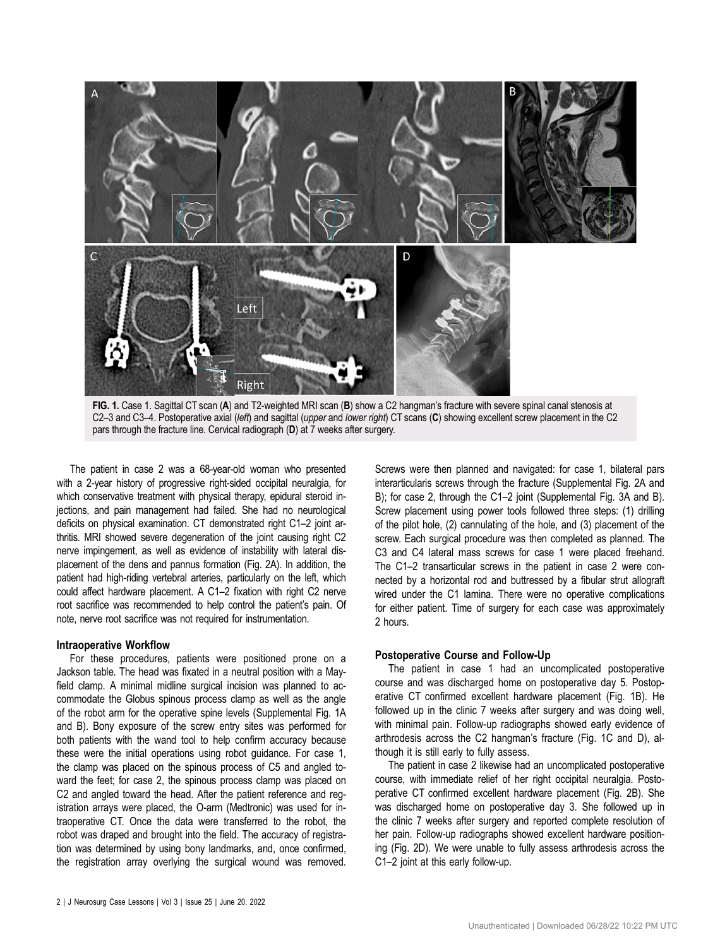<span id="page-1-0"></span>



The patient in case 2 was a 68-year-old woman who presented with a 2-year history of progressive right-sided occipital neuralgia, for which conservative treatment with physical therapy, epidural steroid injections, and pain management had failed. She had no neurological deficits on physical examination. CT demonstrated right C1–2 joint arthritis. MRI showed severe degeneration of the joint causing right C2 nerve impingement, as well as evidence of instability with lateral displacement of the dens and pannus formation [\(Fig. 2A](#page-2-0)). In addition, the patient had high-riding vertebral arteries, particularly on the left, which could affect hardware placement. A C1–2 fixation with right C2 nerve root sacrifice was recommended to help control the patient's pain. Of note, nerve root sacrifice was not required for instrumentation.

#### Intraoperative Workflow

For these procedures, patients were positioned prone on a Jackson table. The head was fixated in a neutral position with a Mayfield clamp. A minimal midline surgical incision was planned to accommodate the Globus spinous process clamp as well as the angle of the robot arm for the operative spine levels ([Supplemental Fig. 1A](https://thejns.org/doi/suppl/10.3171/CASE22114) [and B](https://thejns.org/doi/suppl/10.3171/CASE22114)). Bony exposure of the screw entry sites was performed for both patients with the wand tool to help confirm accuracy because these were the initial operations using robot guidance. For case 1, the clamp was placed on the spinous process of C5 and angled toward the feet; for case 2, the spinous process clamp was placed on C2 and angled toward the head. After the patient reference and registration arrays were placed, the O-arm (Medtronic) was used for intraoperative CT. Once the data were transferred to the robot, the robot was draped and brought into the field. The accuracy of registration was determined by using bony landmarks, and, once confirmed, the registration array overlying the surgical wound was removed.

Screws were then planned and navigated: for case 1, bilateral pars interarticularis screws through the fracture [\(Supplemental Fig. 2A and](https://thejns.org/doi/suppl/10.3171/CASE22114) [B](https://thejns.org/doi/suppl/10.3171/CASE22114)); for case 2, through the C1–2 joint [\(Supplemental Fig. 3A and B\)](https://thejns.org/doi/suppl/10.3171/CASE22114). Screw placement using power tools followed three steps: (1) drilling of the pilot hole, (2) cannulating of the hole, and (3) placement of the screw. Each surgical procedure was then completed as planned. The C3 and C4 lateral mass screws for case 1 were placed freehand. The C1–2 transarticular screws in the patient in case 2 were connected by a horizontal rod and buttressed by a fibular strut allograft wired under the C1 lamina. There were no operative complications for either patient. Time of surgery for each case was approximately 2 hours.

## Postoperative Course and Follow-Up

The patient in case 1 had an uncomplicated postoperative course and was discharged home on postoperative day 5. Postoperative CT confirmed excellent hardware placement (Fig. 1B). He followed up in the clinic 7 weeks after surgery and was doing well, with minimal pain. Follow-up radiographs showed early evidence of arthrodesis across the C2 hangman's fracture (Fig. 1C and D), although it is still early to fully assess.

The patient in case 2 likewise had an uncomplicated postoperative course, with immediate relief of her right occipital neuralgia. Postoperative CT confirmed excellent hardware placement [\(Fig. 2B](#page-2-0)). She was discharged home on postoperative day 3. She followed up in the clinic 7 weeks after surgery and reported complete resolution of her pain. Follow-up radiographs showed excellent hardware positioning ([Fig. 2D](#page-2-0)). We were unable to fully assess arthrodesis across the C1–2 joint at this early follow-up.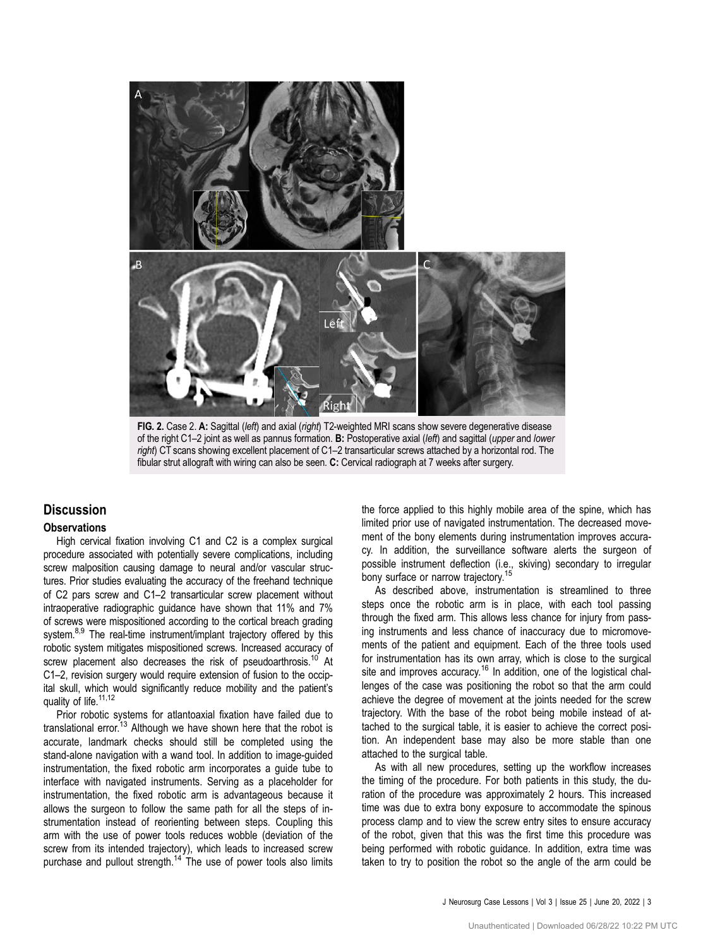<span id="page-2-0"></span>

FIG. 2. Case 2. A: Sagittal (left) and axial (right) T2-weighted MRI scans show severe degenerative disease of the right C1–2 joint as well as pannus formation. B: Postoperative axial (left) and sagittal (upper and lower right) CT scans showing excellent placement of C1–2 transarticular screws attached by a horizontal rod. The fibular strut allograft with wiring can also be seen. C: Cervical radiograph at 7 weeks after surgery.

## **Discussion**

## **Observations**

High cervical fixation involving C1 and C2 is a complex surgical procedure associated with potentially severe complications, including screw malposition causing damage to neural and/or vascular structures. Prior studies evaluating the accuracy of the freehand technique of C2 pars screw and C1–2 transarticular screw placement without intraoperative radiographic guidance have shown that 11% and 7% of screws were mispositioned according to the cortical breach grading system.<sup>8,[9](#page-3-0)</sup> The real-time instrument/implant trajectory offered by this robotic system mitigates mispositioned screws. Increased accuracy of screw placement also decreases the risk of pseudoarthrosis.<sup>[10](#page-3-0)</sup> At C1–2, revision surgery would require extension of fusion to the occipital skull, which would significantly reduce mobility and the patient's quality of life.<sup>11,[12](#page-3-0)</sup>

Prior robotic systems for atlantoaxial fixation have failed due to translational error.<sup>[13](#page-3-0)</sup> Although we have shown here that the robot is accurate, landmark checks should still be completed using the stand-alone navigation with a wand tool. In addition to image-guided instrumentation, the fixed robotic arm incorporates a guide tube to interface with navigated instruments. Serving as a placeholder for instrumentation, the fixed robotic arm is advantageous because it allows the surgeon to follow the same path for all the steps of instrumentation instead of reorienting between steps. Coupling this arm with the use of power tools reduces wobble (deviation of the screw from its intended trajectory), which leads to increased screw purchase and pullout strength.<sup>[14](#page-3-0)</sup> The use of power tools also limits the force applied to this highly mobile area of the spine, which has limited prior use of navigated instrumentation. The decreased movement of the bony elements during instrumentation improves accuracy. In addition, the surveillance software alerts the surgeon of possible instrument deflection (i.e., skiving) secondary to irregular bony surface or narrow trajectory.<sup>1</sup>

As described above, instrumentation is streamlined to three steps once the robotic arm is in place, with each tool passing through the fixed arm. This allows less chance for injury from passing instruments and less chance of inaccuracy due to micromovements of the patient and equipment. Each of the three tools used for instrumentation has its own array, which is close to the surgical site and improves accuracy.<sup>16</sup> In addition, one of the logistical challenges of the case was positioning the robot so that the arm could achieve the degree of movement at the joints needed for the screw trajectory. With the base of the robot being mobile instead of attached to the surgical table, it is easier to achieve the correct position. An independent base may also be more stable than one attached to the surgical table.

As with all new procedures, setting up the workflow increases the timing of the procedure. For both patients in this study, the duration of the procedure was approximately 2 hours. This increased time was due to extra bony exposure to accommodate the spinous process clamp and to view the screw entry sites to ensure accuracy of the robot, given that this was the first time this procedure was being performed with robotic guidance. In addition, extra time was taken to try to position the robot so the angle of the arm could be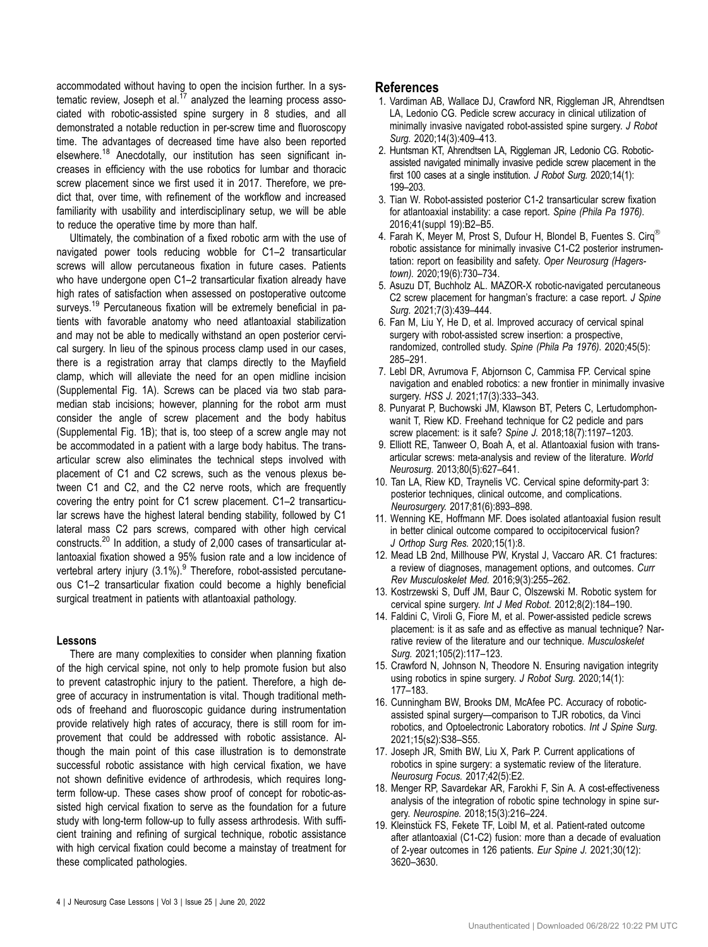<span id="page-3-0"></span>accommodated without having to open the incision further. In a systematic review, Joseph et al. $^{17}$  analyzed the learning process associated with robotic-assisted spine surgery in 8 studies, and all demonstrated a notable reduction in per-screw time and fluoroscopy time. The advantages of decreased time have also been reported elsewhere.<sup>18</sup> Anecdotally, our institution has seen significant increases in efficiency with the use robotics for lumbar and thoracic screw placement since we first used it in 2017. Therefore, we predict that, over time, with refinement of the workflow and increased familiarity with usability and interdisciplinary setup, we will be able to reduce the operative time by more than half.

Ultimately, the combination of a fixed robotic arm with the use of navigated power tools reducing wobble for C1–2 transarticular screws will allow percutaneous fixation in future cases. Patients who have undergone open C1–2 transarticular fixation already have high rates of satisfaction when assessed on postoperative outcome surveys.<sup>19</sup> Percutaneous fixation will be extremely beneficial in patients with favorable anatomy who need atlantoaxial stabilization and may not be able to medically withstand an open posterior cervical surgery. In lieu of the spinous process clamp used in our cases, there is a registration array that clamps directly to the Mayfield clamp, which will alleviate the need for an open midline incision [\(Supplemental Fig. 1A\)](https://thejns.org/doi/suppl/10.3171/CASE22114). Screws can be placed via two stab paramedian stab incisions; however, planning for the robot arm must consider the angle of screw placement and the body habitus [\(Supplemental Fig. 1B](https://thejns.org/doi/suppl/10.3171/CASE22114)); that is, too steep of a screw angle may not be accommodated in a patient with a large body habitus. The transarticular screw also eliminates the technical steps involved with placement of C1 and C2 screws, such as the venous plexus between C1 and C2, and the C2 nerve roots, which are frequently covering the entry point for C1 screw placement. C1–2 transarticular screws have the highest lateral bending stability, followed by C1 lateral mass C2 pars screws, compared with other high cervical constructs.[20](#page-4-0) In addition, a study of 2,000 cases of transarticular atlantoaxial fixation showed a 95% fusion rate and a low incidence of vertebral artery injury  $(3.1\%)$ . Therefore, robot-assisted percutaneous C1–2 transarticular fixation could become a highly beneficial surgical treatment in patients with atlantoaxial pathology.

#### Lessons

There are many complexities to consider when planning fixation of the high cervical spine, not only to help promote fusion but also to prevent catastrophic injury to the patient. Therefore, a high degree of accuracy in instrumentation is vital. Though traditional methods of freehand and fluoroscopic guidance during instrumentation provide relatively high rates of accuracy, there is still room for improvement that could be addressed with robotic assistance. Although the main point of this case illustration is to demonstrate successful robotic assistance with high cervical fixation, we have not shown definitive evidence of arthrodesis, which requires longterm follow-up. These cases show proof of concept for robotic-assisted high cervical fixation to serve as the foundation for a future study with long-term follow-up to fully assess arthrodesis. With sufficient training and refining of surgical technique, robotic assistance with high cervical fixation could become a mainstay of treatment for these complicated pathologies.

## References

- 1. Vardiman AB, Wallace DJ, Crawford NR, Riggleman JR, Ahrendtsen LA, Ledonio CG. Pedicle screw accuracy in clinical utilization of minimally invasive navigated robot-assisted spine surgery. J Robot Surg. 2020;14(3):409–413.
- 2. Huntsman KT, Ahrendtsen LA, Riggleman JR, Ledonio CG. Roboticassisted navigated minimally invasive pedicle screw placement in the first 100 cases at a single institution. J Robot Surg. 2020;14(1): 199–203.
- 3. Tian W. Robot-assisted posterior C1-2 transarticular screw fixation for atlantoaxial instability: a case report. Spine (Phila Pa 1976). 2016;41(suppl 19):B2–B5.
- 4. Farah K, Meyer M, Prost S, Dufour H, Blondel B, Fuentes S. Cirq<sup>®</sup> robotic assistance for minimally invasive C1-C2 posterior instrumentation: report on feasibility and safety. Oper Neurosurg (Hagerstown). 2020;19(6):730–734.
- 5. Asuzu DT, Buchholz AL. MAZOR-X robotic-navigated percutaneous C2 screw placement for hangman's fracture: a case report. J Spine Surg. 2021;7(3):439–444.
- 6. Fan M, Liu Y, He D, et al. Improved accuracy of cervical spinal surgery with robot-assisted screw insertion: a prospective, randomized, controlled study. Spine (Phila Pa 1976). 2020;45(5): 285–291.
- 7. Lebl DR, Avrumova F, Abjornson C, Cammisa FP. Cervical spine navigation and enabled robotics: a new frontier in minimally invasive surgery. HSS J. 2021;17(3):333–343.
- 8. Punyarat P, Buchowski JM, Klawson BT, Peters C, Lertudomphonwanit T, Riew KD. Freehand technique for C2 pedicle and pars screw placement: is it safe? Spine J. 2018;18(7):1197–1203.
- 9. Elliott RE, Tanweer O, Boah A, et al. Atlantoaxial fusion with transarticular screws: meta-analysis and review of the literature. World Neurosurg. 2013;80(5):627–641.
- 10. Tan LA, Riew KD, Traynelis VC. Cervical spine deformity-part 3: posterior techniques, clinical outcome, and complications. Neurosurgery. 2017;81(6):893–898.
- 11. Wenning KE, Hoffmann MF. Does isolated atlantoaxial fusion result in better clinical outcome compared to occipitocervical fusion? J Orthop Surg Res. 2020;15(1):8.
- 12. Mead LB 2nd, Millhouse PW, Krystal J, Vaccaro AR. C1 fractures: a review of diagnoses, management options, and outcomes. Curr Rev Musculoskelet Med. 2016;9(3):255–262.
- 13. Kostrzewski S, Duff JM, Baur C, Olszewski M. Robotic system for cervical spine surgery. Int J Med Robot. 2012;8(2):184–190.
- 14. Faldini C, Viroli G, Fiore M, et al. Power-assisted pedicle screws placement: is it as safe and as effective as manual technique? Narrative review of the literature and our technique. Musculoskelet Surg. 2021;105(2):117–123.
- 15. Crawford N, Johnson N, Theodore N. Ensuring navigation integrity using robotics in spine surgery. J Robot Surg. 2020;14(1): 177–183.
- 16. Cunningham BW, Brooks DM, McAfee PC. Accuracy of roboticassisted spinal surgery—comparison to TJR robotics, da Vinci robotics, and Optoelectronic Laboratory robotics. Int J Spine Surg. 2021;15(s2):S38–S55.
- 17. Joseph JR, Smith BW, Liu X, Park P. Current applications of robotics in spine surgery: a systematic review of the literature. Neurosurg Focus. 2017;42(5):E2.
- 18. Menger RP, Savardekar AR, Farokhi F, Sin A. A cost-effectiveness analysis of the integration of robotic spine technology in spine surgery. Neurospine. 2018;15(3):216–224.
- 19. Kleinstück FS, Fekete TF, Loibl M, et al. Patient-rated outcome after atlantoaxial (C1-C2) fusion: more than a decade of evaluation of 2-year outcomes in 126 patients. Eur Spine J. 2021;30(12): 3620–3630.